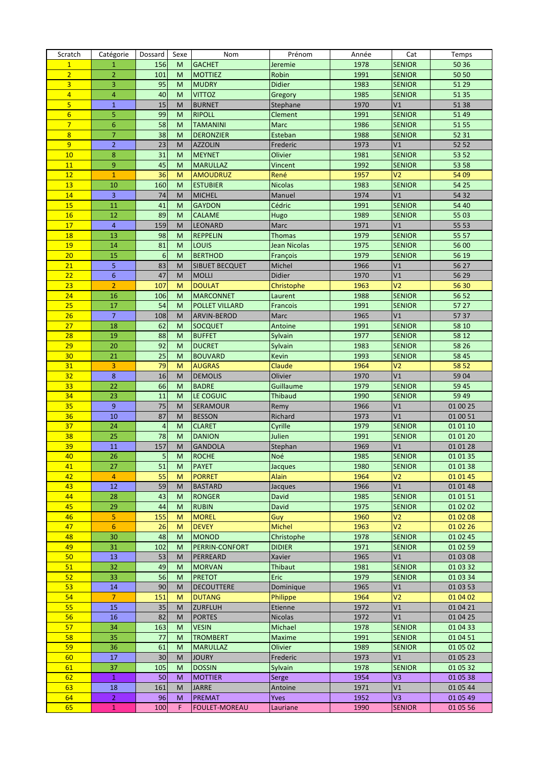| Scratch         | Catégorie      | Dossard         | Sexe           | Nom                   | Prénom              | Année | Cat            | Temps    |
|-----------------|----------------|-----------------|----------------|-----------------------|---------------------|-------|----------------|----------|
| $\mathbf{1}$    | $\mathbf{1}$   | 156             | M              | <b>GACHET</b>         | Jeremie             | 1978  | <b>SENIOR</b>  | 50 36    |
| $\overline{2}$  | $\overline{2}$ | 101             | M              | <b>MOTTIEZ</b>        | Robin               | 1991  | <b>SENIOR</b>  | 50 50    |
| $\overline{3}$  | 3              | 95              | M              | <b>MUDRY</b>          | <b>Didier</b>       | 1983  | <b>SENIOR</b>  | 51 29    |
| $\overline{4}$  | $\overline{4}$ | 40              | M              | <b>VITTOZ</b>         | Gregory             | 1985  | <b>SENIOR</b>  | 51 35    |
| $\overline{5}$  | $\mathbf{1}$   | 15              | M              | <b>BURNET</b>         | Stephane            | 1970  | V1             | 51 38    |
| $6\overline{6}$ | 5              | 99              | M              | <b>RIPOLL</b>         | Clement             | 1991  | <b>SENIOR</b>  | 51 49    |
| $\overline{7}$  | $\overline{6}$ | 58              | M              | <b>TAMANINI</b>       | Marc                | 1986  | <b>SENIOR</b>  | 51 55    |
| $\overline{8}$  | $\overline{7}$ | 38              | M              | <b>DERONZIER</b>      | Esteban             | 1988  | <b>SENIOR</b>  | 52 31    |
| $\overline{9}$  | $\overline{2}$ | 23              | M              | <b>AZZOLIN</b>        | Frederic            | 1973  | V1             | 52 52    |
| 10              | 8              | 31              | M              | <b>MEYNET</b>         | Olivier             | 1981  | <b>SENIOR</b>  | 53 52    |
| 11              | 9              | 45              | M              | <b>MARULLAZ</b>       | Vincent             | 1992  | <b>SENIOR</b>  | 53 58    |
| 12              | $\mathbf{1}$   | 36              | M              | <b>AMOUDRUZ</b>       | René                | 1957  | V <sub>2</sub> | 54 09    |
| 13              | 10             | 160             | M              | <b>ESTUBIER</b>       | <b>Nicolas</b>      | 1983  | <b>SENIOR</b>  | 54 25    |
| 14              | 3              | 74              | M              | <b>MICHEL</b>         | Manuel              | 1974  | V1             | 54 32    |
| 15              | 11             | 41              | M              | <b>GAYDON</b>         | Cédric              | 1991  | <b>SENIOR</b>  | 54 40    |
| 16              | 12             | 89              | M              | <b>CALAME</b>         | Hugo                | 1989  | <b>SENIOR</b>  | 55 03    |
| 17              | $\overline{4}$ | 159             | M              | <b>LEONARD</b>        | Marc                | 1971  | V1             | 55 53    |
| 18              | 13             | 98              | M              | <b>REPPELIN</b>       | <b>Thomas</b>       | 1979  | <b>SENIOR</b>  | 55 57    |
| 19              | 14             | 81              | M              | <b>LOUIS</b>          | <b>Jean Nicolas</b> | 1975  | <b>SENIOR</b>  | 56 00    |
| 20              | 15             | $6\phantom{1}6$ | M              | <b>BERTHOD</b>        | François            | 1979  | <b>SENIOR</b>  | 56 19    |
| 21              | 5              | 83              | M              | SIBUET BECQUET        | Michel              | 1966  | V1             | 56 27    |
| 22              | $6\phantom{1}$ | 47              | M              | <b>MOLLI</b>          | Didier              | 1970  | V1             | 56 29    |
| 23              | $\overline{2}$ | 107             | M              | <b>DOULAT</b>         | Christophe          | 1963  | V <sub>2</sub> | 56 30    |
| 24              | 16             | 106             | M              | <b>MARCONNET</b>      | Laurent             | 1988  | <b>SENIOR</b>  | 56 52    |
| 25              | 17             | 54              | M              | <b>POLLET VILLARD</b> | <b>Francois</b>     | 1991  | <b>SENIOR</b>  | 57 27    |
| 26              | $\overline{7}$ | 108             | M              | ARVIN-BEROD           | Marc                | 1965  | V1             | 5737     |
| 27              | 18             | 62              | M              | <b>SOCQUET</b>        | Antoine             | 1991  | <b>SENIOR</b>  | 58 10    |
| 28              | 19             | 88              | M              | <b>BUFFET</b>         | Sylvain             | 1977  | <b>SENIOR</b>  | 58 12    |
| 29              | 20             | 92              | M              | <b>DUCRET</b>         | Sylvain             | 1983  | <b>SENIOR</b>  | 58 26    |
| 30              | 21             | 25              | M              | <b>BOUVARD</b>        | Kevin               | 1993  | <b>SENIOR</b>  | 58 45    |
| 31              | 3              | 79              | M              | <b>AUGRAS</b>         | Claude              | 1964  | V <sub>2</sub> | 58 52    |
| 32              | 8              | 16              | M              | <b>DEMOLIS</b>        | Olivier             | 1970  | V1             | 59 04    |
| 33              | 22             | 66              | M              | <b>BADRE</b>          | Guillaume           | 1979  | <b>SENIOR</b>  | 59 45    |
| 34              | 23             | 11              | M              | LE COGUIC             | <b>Thibaud</b>      | 1990  | <b>SENIOR</b>  | 59 49    |
| 35              | 9              | 75              | M              | <b>SERAMOUR</b>       | Remy                | 1966  | V1             | 01 00 25 |
| 36              | 10             | 87              | M              | <b>BESSON</b>         | Richard             | 1973  | V1             | 01 00 51 |
| 37              | 24             | 4               | M              | <b>CLARET</b>         | Cyrille             | 1979  | <b>SENIOR</b>  | 01 01 10 |
| 38              | 25             | 78              | M              | <b>DANION</b>         | Julien              | 1991  | <b>SENIOR</b>  | 01 01 20 |
| 39              | 11             | 157             | M              | <b>GANDOLA</b>        | Stephan             | 1969  | V1             | 01 01 28 |
| 40              | 26             | 5 <sub>l</sub>  | M <sub>1</sub> | <b>ROCHE</b>          | Noé                 | 1985  | <b>SENIOR</b>  | 01 01 35 |
| 41              | 27             | 51              | M              | <b>PAYET</b>          | Jacques             | 1980  | <b>SENIOR</b>  | 01 01 38 |
| 42              | $\overline{4}$ | 55              | M              | <b>PORRET</b>         | <b>Alain</b>        | 1964  | V <sub>2</sub> | 01 01 45 |
| 43              | 12             | 59              | м              | <b>BASTARD</b>        | Jacques             | 1966  | V1             | 01 01 48 |
| 44              | 28             | 43              | M              | <b>RONGER</b>         | David               | 1985  | <b>SENIOR</b>  | 01 01 51 |
| 45              | 29             | 44              | M              | <b>RUBIN</b>          | David               | 1975  | <b>SENIOR</b>  | 01 02 02 |
| 46              | 5              | 155             | м              | <b>MOREL</b>          | Guy                 | 1960  | V <sub>2</sub> | 01 02 08 |
| 47              | $6\phantom{1}$ | 26              | M              | <b>DEVEY</b>          | <b>Michel</b>       | 1963  | V <sub>2</sub> | 01 02 26 |
| 48              | 30             | 48              | M              | <b>MONOD</b>          | Christophe          | 1978  | <b>SENIOR</b>  | 01 02 45 |
| 49              | 31             | 102             | М              | PERRIN-CONFORT        | <b>DIDIER</b>       | 1971  | <b>SENIOR</b>  | 01 02 59 |
| 50              | 13             | 53              | M              | PERREARD              | Xavier              | 1965  | V1             | 01 03 08 |
| 51              | 32             | 49              | M              | <b>MORVAN</b>         | Thibaut             | 1981  | <b>SENIOR</b>  | 01 03 32 |
| 52              | 33             | 56              | M              | <b>PRETOT</b>         | Eric                | 1979  | <b>SENIOR</b>  | 01 03 34 |
| 53              | 14             | 90              | M              | <b>DECOUTTERE</b>     | Dominique           | 1965  | V1             | 01 03 53 |
| 54              | $\overline{7}$ | 151             | M              | <b>DUTANG</b>         | Philippe            | 1964  | V <sub>2</sub> | 01 04 02 |
| 55              | 15             | 35              | M              | <b>ZURFLUH</b>        | Etienne             | 1972  | V1             | 01 04 21 |
| 56              | 16             | 82              | M              | <b>PORTES</b>         | <b>Nicolas</b>      | 1972  | V1             | 01 04 25 |
| 57              | 34             | 163             | M              | <b>VESIN</b>          | Michael             | 1978  | <b>SENIOR</b>  | 01 04 33 |
| 58              | 35             | 77              | M              | <b>TROMBERT</b>       | Maxime              | 1991  | <b>SENIOR</b>  | 01 04 51 |
| 59              | 36             | 61              | M              | <b>MARULLAZ</b>       | Olivier             | 1989  | <b>SENIOR</b>  | 01 05 02 |
| 60              | 17             | 30              | M              | <b>JOURY</b>          | Frederic            | 1973  | V1             | 01 05 23 |
| 61              | 37             | 105             | M              | <b>DOSSIN</b>         | Sylvain             | 1978  | <b>SENIOR</b>  | 01 05 32 |
| 62              | $\mathbf{1}$   | 50              | м              | <b>MOTTIER</b>        | Serge               | 1954  | V3             | 01 05 38 |
| 63              | 18             | 161             | M              | <b>JARRE</b>          | Antoine             | 1971  | V1             | 01 05 44 |
| 64              | $\overline{2}$ | 96              | M              | <b>PREMAT</b>         | <b>Yves</b>         | 1952  | V3             | 01 05 49 |
| 65              | $\mathbf{1}$   | 100             | F.             | <b>FOULET-MOREAU</b>  | Lauriane            | 1990  | <b>SENIOR</b>  | 01 05 56 |